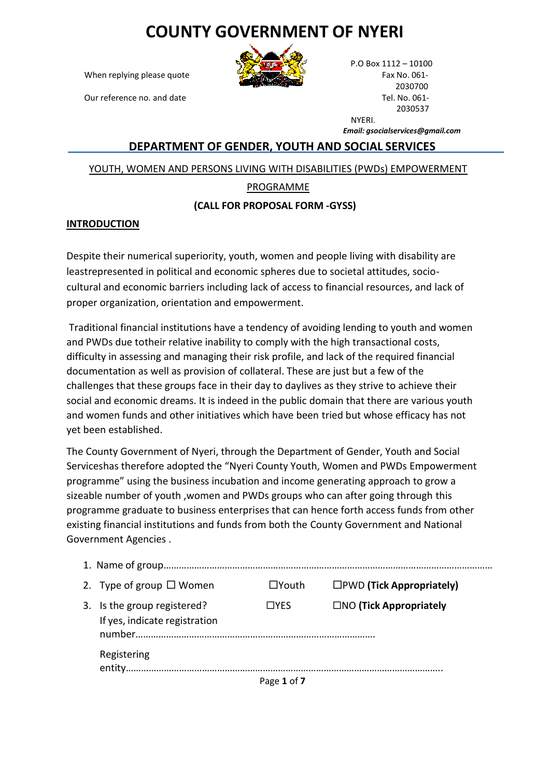# **COUNTY GOVERNMENT OF NYERI**

When replying please quote Fax No. 061-

Our reference no. and date Tel. No. 061-



P.O Box 1112 – 10100 2030700 2030537 **NYFRI** 

*Email: [gsocialservices@gmail.com](mailto:gsocialservices@gmail.com)*

### **DEPARTMENT OF GENDER, YOUTH AND SOCIAL SERVICES**

YOUTH, WOMEN AND PERSONS LIVING WITH DISABILITIES (PWDs) EMPOWERMENT

## PROGRAMME

#### **(CALL FOR PROPOSAL FORM -GYSS)**

#### **INTRODUCTION**

Despite their numerical superiority, youth, women and people living with disability are leastrepresented in political and economic spheres due to societal attitudes, sociocultural and economic barriers including lack of access to financial resources, and lack of proper organization, orientation and empowerment.

Traditional financial institutions have a tendency of avoiding lending to youth and women and PWDs due totheir relative inability to comply with the high transactional costs, difficulty in assessing and managing their risk profile, and lack of the required financial documentation as well as provision of collateral. These are just but a few of the challenges that these groups face in their day to daylives as they strive to achieve their social and economic dreams. It is indeed in the public domain that there are various youth and women funds and other initiatives which have been tried but whose efficacy has not yet been established.

The County Government of Nyeri, through the Department of Gender, Youth and Social Serviceshas therefore adopted the "Nyeri County Youth, Women and PWDs Empowerment programme" using the business incubation and income generating approach to grow a sizeable number of youth ,women and PWDs groups who can after going through this programme graduate to business enterprises that can hence forth access funds from other existing financial institutions and funds from both the County Government and National Government Agencies .

|    | 2. Type of group $\Box$ Women                             | $\square$ Youth | $\square$ PWD (Tick Appropriately) |
|----|-----------------------------------------------------------|-----------------|------------------------------------|
| 3. | Is the group registered?<br>If yes, indicate registration | $\Box$ YFS      | $\Box$ NO (Tick Appropriately      |
|    | Registering                                               |                 |                                    |
|    |                                                           | Page 1 of 7     |                                    |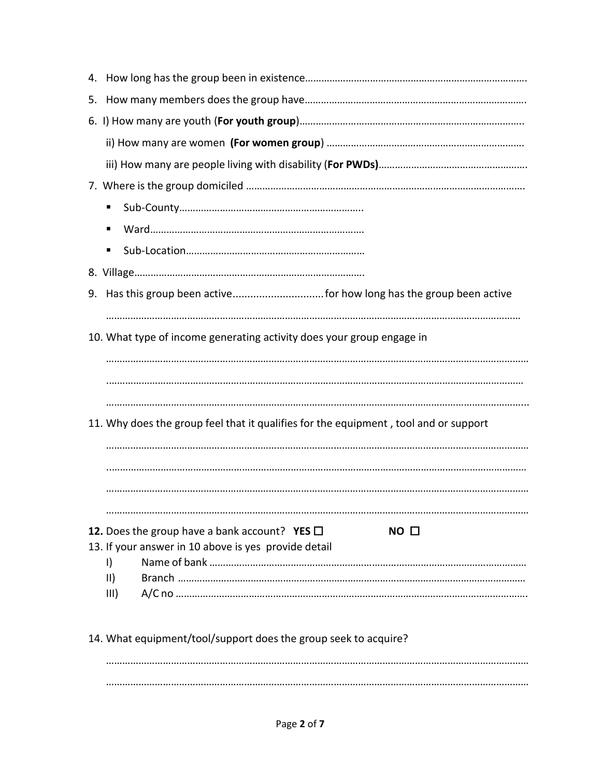| 5.                                                                                   |  |  |  |  |  |
|--------------------------------------------------------------------------------------|--|--|--|--|--|
|                                                                                      |  |  |  |  |  |
|                                                                                      |  |  |  |  |  |
|                                                                                      |  |  |  |  |  |
|                                                                                      |  |  |  |  |  |
|                                                                                      |  |  |  |  |  |
| ٠                                                                                    |  |  |  |  |  |
| ш                                                                                    |  |  |  |  |  |
|                                                                                      |  |  |  |  |  |
| 9.                                                                                   |  |  |  |  |  |
|                                                                                      |  |  |  |  |  |
| 10. What type of income generating activity does your group engage in                |  |  |  |  |  |
|                                                                                      |  |  |  |  |  |
|                                                                                      |  |  |  |  |  |
|                                                                                      |  |  |  |  |  |
| 11. Why does the group feel that it qualifies for the equipment, tool and or support |  |  |  |  |  |
|                                                                                      |  |  |  |  |  |
|                                                                                      |  |  |  |  |  |
|                                                                                      |  |  |  |  |  |
|                                                                                      |  |  |  |  |  |
| 12. Does the group have a bank account? YES $\Box$<br>NO <sub>0</sub>                |  |  |  |  |  |
| 13. If your answer in 10 above is yes provide detail<br>$\vert$                      |  |  |  |  |  |
| $\vert \vert \vert$                                                                  |  |  |  |  |  |
| III)                                                                                 |  |  |  |  |  |
|                                                                                      |  |  |  |  |  |
| 14. What equipment/tool/support does the group seek to acquire?                      |  |  |  |  |  |

………………………………………………………………………………………………………………………………………… …………………………………………………………………………………………………………………………………………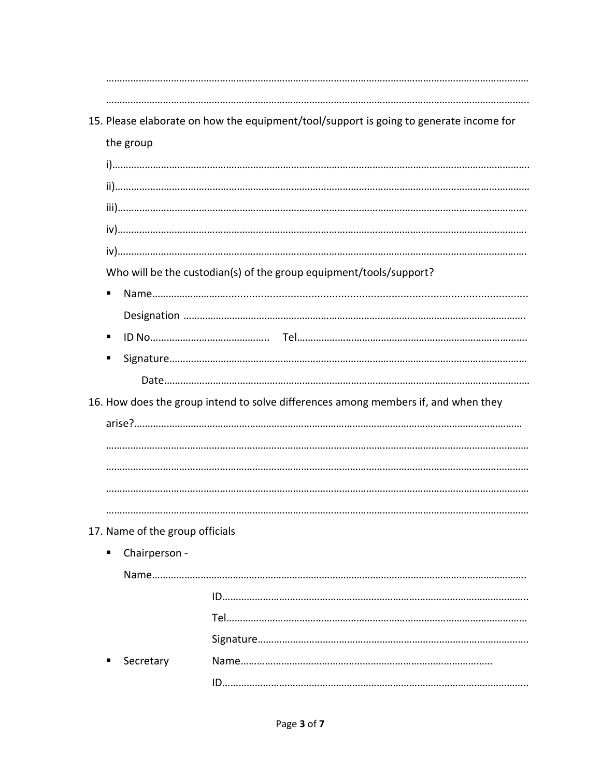|                                 | 15. Please elaborate on how the equipment/tool/support is going to generate income for |
|---------------------------------|----------------------------------------------------------------------------------------|
| the group                       |                                                                                        |
|                                 |                                                                                        |
|                                 |                                                                                        |
|                                 |                                                                                        |
|                                 |                                                                                        |
|                                 |                                                                                        |
|                                 | Who will be the custodian(s) of the group equipment/tools/support?                     |
|                                 |                                                                                        |
|                                 |                                                                                        |
|                                 |                                                                                        |
|                                 |                                                                                        |
|                                 |                                                                                        |
|                                 | 16. How does the group intend to solve differences among members if, and when they     |
|                                 |                                                                                        |
|                                 |                                                                                        |
|                                 |                                                                                        |
|                                 |                                                                                        |
|                                 |                                                                                        |
|                                 |                                                                                        |
| 17. Name of the group officials |                                                                                        |
| Chairperson -                   |                                                                                        |
|                                 |                                                                                        |
|                                 |                                                                                        |
|                                 |                                                                                        |
|                                 |                                                                                        |
| Secretary                       |                                                                                        |
|                                 |                                                                                        |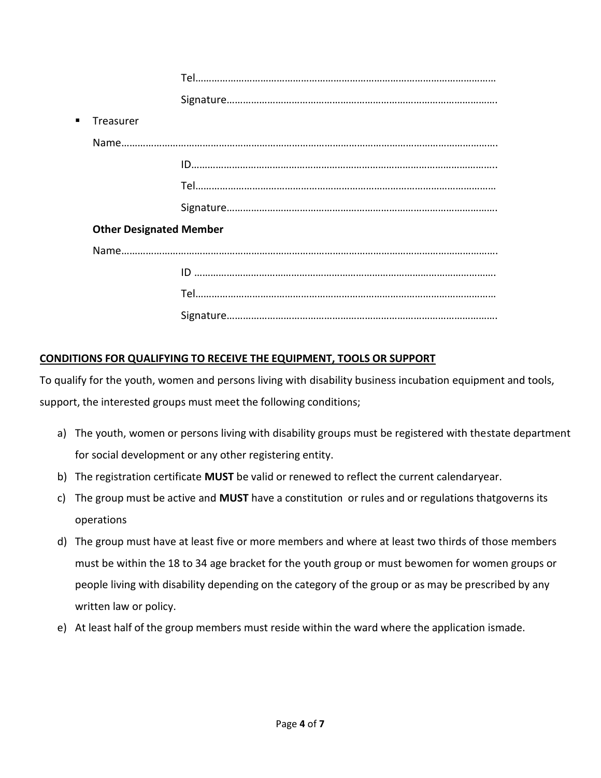| $\blacksquare$ | Treasurer                      |  |
|----------------|--------------------------------|--|
|                |                                |  |
|                |                                |  |
|                |                                |  |
|                |                                |  |
|                | <b>Other Designated Member</b> |  |
|                |                                |  |
|                |                                |  |
|                |                                |  |
|                |                                |  |

# **CONDITIONS FOR QUALIFYING TO RECEIVE THE EQUIPMENT, TOOLS OR SUPPORT**

To qualify for the youth, women and persons living with disability business incubation equipment and tools, support, the interested groups must meet the following conditions;

- a) The youth, women or persons living with disability groups must be registered with thestate department for social development or any other registering entity.
- b) The registration certificate **MUST** be valid or renewed to reflect the current calendaryear.
- c) The group must be active and **MUST** have a constitution or rules and or regulations thatgoverns its operations
- d) The group must have at least five or more members and where at least two thirds of those members must be within the 18 to 34 age bracket for the youth group or must bewomen for women groups or people living with disability depending on the category of the group or as may be prescribed by any written law or policy.
- e) At least half of the group members must reside within the ward where the application ismade.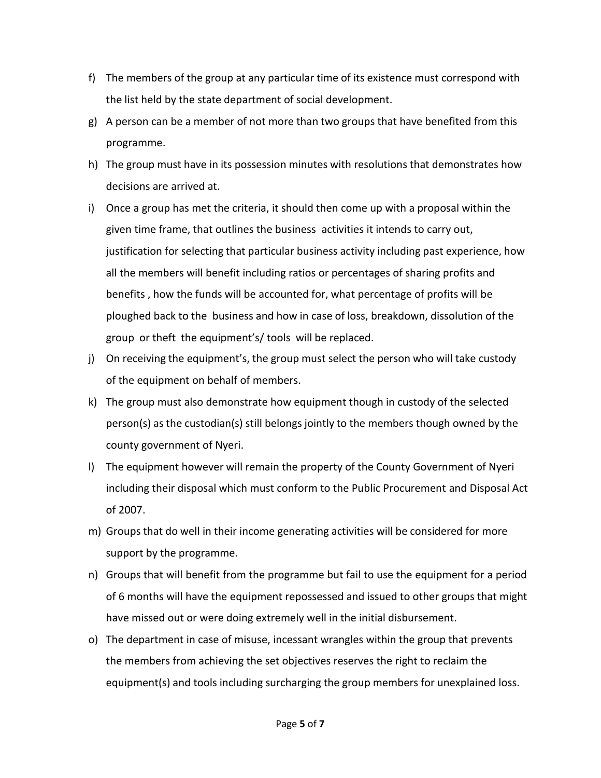- f) The members of the group at any particular time of its existence must correspond with the list held by the state department of social development.
- g) A person can be a member of not more than two groups that have benefited from this programme.
- h) The group must have in its possession minutes with resolutions that demonstrates how decisions are arrived at.
- i) Once a group has met the criteria, it should then come up with a proposal within the given time frame, that outlines the business activities it intends to carry out, justification for selecting that particular business activity including past experience, how all the members will benefit including ratios or percentages of sharing profits and benefits , how the funds will be accounted for, what percentage of profits will be ploughed back to the business and how in case of loss, breakdown, dissolution of the group or theft the equipment's/ tools will be replaced.
- j) On receiving the equipment's, the group must select the person who will take custody of the equipment on behalf of members.
- k) The group must also demonstrate how equipment though in custody of the selected person(s) as the custodian(s) still belongs jointly to the members though owned by the county government of Nyeri.
- l) The equipment however will remain the property of the County Government of Nyeri including their disposal which must conform to the Public Procurement and Disposal Act of 2007.
- m) Groups that do well in their income generating activities will be considered for more support by the programme.
- n) Groups that will benefit from the programme but fail to use the equipment for a period of 6 months will have the equipment repossessed and issued to other groups that might have missed out or were doing extremely well in the initial disbursement.
- o) The department in case of misuse, incessant wrangles within the group that prevents the members from achieving the set objectives reserves the right to reclaim the equipment(s) and tools including surcharging the group members for unexplained loss.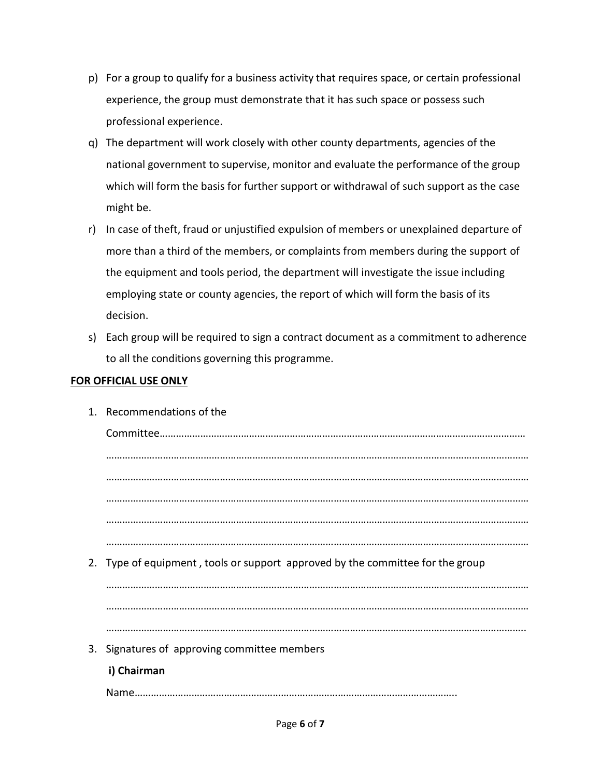- p) For a group to qualify for a business activity that requires space, or certain professional experience, the group must demonstrate that it has such space or possess such professional experience.
- q) The department will work closely with other county departments, agencies of the national government to supervise, monitor and evaluate the performance of the group which will form the basis for further support or withdrawal of such support as the case might be.
- r) In case of theft, fraud or unjustified expulsion of members or unexplained departure of more than a third of the members, or complaints from members during the support of the equipment and tools period, the department will investigate the issue including employing state or county agencies, the report of which will form the basis of its decision.
- s) Each group will be required to sign a contract document as a commitment to adherence to all the conditions governing this programme.

# **FOR OFFICIAL USE ONLY**

1. Recommendations of the Committee……………………………………………………………………………………………………………………… ………………………………………………………………………………………………………………………………………… ………………………………………………………………………………………………………………………………………… ………………………………………………………………………………………………………………………………………… ………………………………………………………………………………………………………………………………………… ………………………………………………………………………………………………………………………………………… 2. Type of equipment , tools or support approved by the committee for the group ………………………………………………………………………………………………………………………………………… ………………………………………………………………………………………………………………………………………… ……………………………………………………………………………………………………………………………………….. 3. Signatures of approving committee members **i) Chairman** Name………………………………………………………………………………………………………..